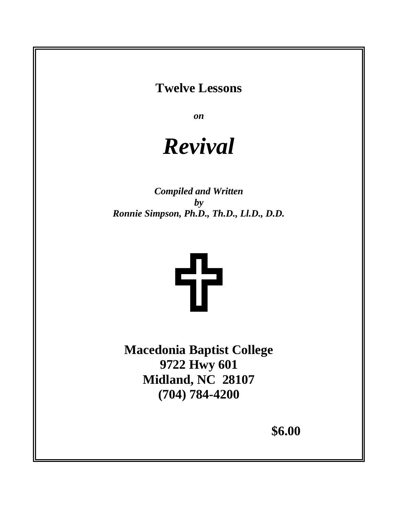## **Twelve Lessons**

*on*

# *Revival*

*Compiled and Written by Ronnie Simpson, Ph.D., Th.D., Ll.D., D.D.*



**Macedonia Baptist College 9722 Hwy 601 Midland, NC 28107 (704) 784-4200** 

**\$6.00**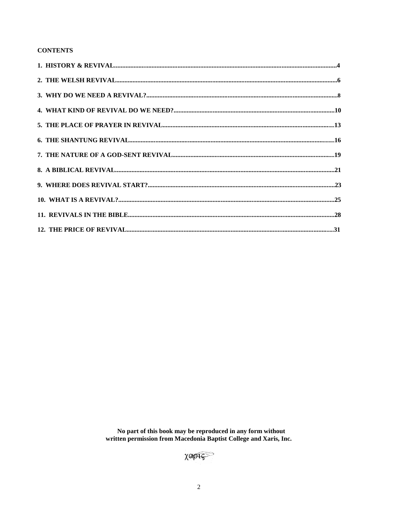#### **CONTENTS**

No part of this book may be reproduced in any form without<br>written permission from Macedonia Baptist College and Xaris, Inc.

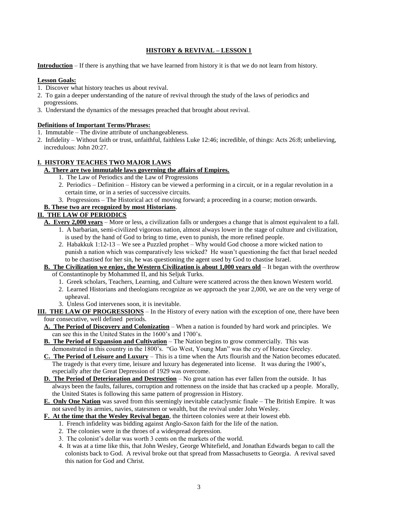#### **HISTORY & REVIVAL – LESSON 1**

**Introduction** – If there is anything that we have learned from history it is that we do not learn from history.

#### **Lesson Goals:**

- 1. Discover what history teaches us about revival.
- 2. To gain a deeper understanding of the nature of revival through the study of the laws of periodics and progressions.
- 3. Understand the dynamics of the messages preached that brought about revival.

#### **Definitions of Important Terms/Phrases:**

- 1. Immutable The divine attribute of unchangeableness.
- 2. Infidelity Without faith or trust, unfaithful, faithless Luke 12:46; incredible, of things: Acts 26:8; unbelieving, incredulous: John 20:27.

#### **I. HISTORY TEACHES TWO MAJOR LAWS**

#### **A. There are two immutable laws governing the affairs of Empires.**

- 1. The Law of Periodics and the Law of Progressions
- 2. Periodics Definition History can be viewed a performing in a circuit, or in a regular revolution in a certain time, or in a series of successive circuits.
- 3. Progressions The Historical act of moving forward; a proceeding in a course; motion onwards.

#### **B. These two are recognized by most Historians**.

#### **II. THE LAW OF PERIODICS**

- **A. Every 2,000 years** More or less, a civilization falls or undergoes a change that is almost equivalent to a fall.
	- 1. A barbarian, semi-civilized vigorous nation, almost always lower in the stage of culture and civilization, is used by the hand of God to bring to time, even to punish, the more refined people.
	- 2. Habakkuk 1:12-13 We see a Puzzled prophet Why would God choose a more wicked nation to punish a nation which was comparatively less wicked? He wasn't questioning the fact that Israel needed to be chastised for her sin, he was questioning the agent used by God to chastise Israel.

#### **B. The Civilization we enjoy, the Western Civilization is about 1,000 years old** – It began with the overthrow of Constantinople by Mohammed II, and his Seljuk Turks.

- 1. Greek scholars, Teachers, Learning, and Culture were scattered across the then known Western world.
- 2. Learned Historians and theologians recognize as we approach the year 2,000, we are on the very verge of upheaval.
- 3. Unless God intervenes soon, it is inevitable.

**III. THE LAW OF PROGRESSIONS** – In the History of every nation with the exception of one, there have been four consecutive, well defined periods.

- **A. The Period of Discovery and Colonization** When a nation is founded by hard work and principles. We can see this in the United States in the 1600's and 1700's.
- **B.** The Period of Expansion and Cultivation The Nation begins to grow commercially. This was demonstrated in this country in the 1800's. "Go West, Young Man" was the cry of Horace Greeley.
- **C. The Period of Leisure and Luxury** This is a time when the Arts flourish and the Nation becomes educated. The tragedy is that every time, leisure and luxury has degenerated into license. It was during the 1900's, especially after the Great Depression of 1929 was overcome.
- **D. The Period of Deterioration and Destruction** No great nation has ever fallen from the outside. It has always been the faults, failures, corruption and rottenness on the inside that has cracked up a people. Morally, the United States is following this same pattern of progression in History.
- **E. Only One Nation** was saved from this seemingly inevitable cataclysmic finale The British Empire. It was not saved by its armies, navies, statesmen or wealth, but the revival under John Wesley.

#### **F. At the time that the Wesley Revival began**, the thirteen colonies were at their lowest ebb.

- 1. French infidelity was bidding against Anglo-Saxon faith for the life of the nation.
- 2. The colonies were in the throes of a widespread depression.
- 3. The colonist's dollar was worth 3 cents on the markets of the world.
- 4. It was at a time like this, that John Wesley, George Whitefield, and Jonathan Edwards began to call the colonists back to God. A revival broke out that spread from Massachusetts to Georgia. A revival saved this nation for God and Christ.